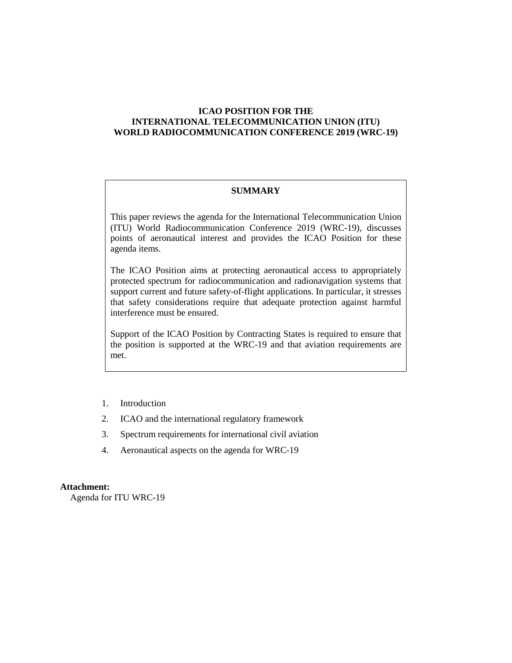# **ICAO POSITION FOR THE INTERNATIONAL TELECOMMUNICATION UNION (ITU) WORLD RADIOCOMMUNICATION CONFERENCE 2019 (WRC-19)**

### **SUMMARY**

This paper reviews the agenda for the International Telecommunication Union (ITU) World Radiocommunication Conference 2019 (WRC-19), discusses points of aeronautical interest and provides the ICAO Position for these agenda items.

The ICAO Position aims at protecting aeronautical access to appropriately protected spectrum for radiocommunication and radionavigation systems that support current and future safety-of-flight applications. In particular, it stresses that safety considerations require that adequate protection against harmful interference must be ensured.

Support of the ICAO Position by Contracting States is required to ensure that the position is supported at the WRC-19 and that aviation requirements are met.

- 1. Introduction
- 2. ICAO and the international regulatory framework
- 3. Spectrum requirements for international civil aviation
- 4. Aeronautical aspects on the agenda for WRC-19

#### **Attachment:**

Agenda for ITU WRC-19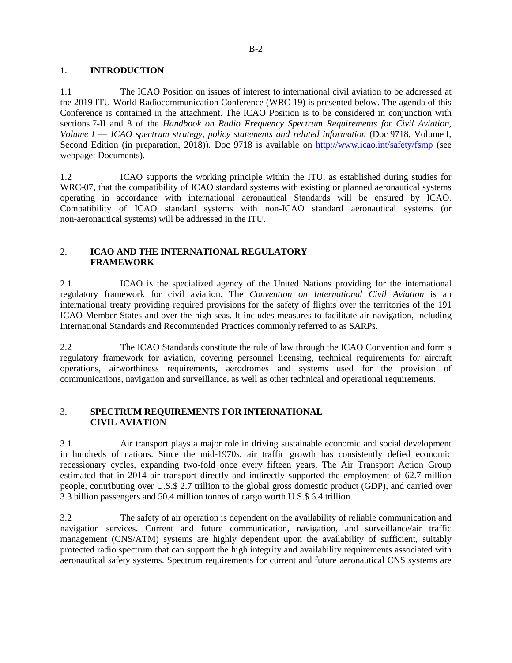## 1. **INTRODUCTION**

1.1 The ICAO Position on issues of interest to international civil aviation to be addressed at the 2019 ITU World Radiocommunication Conference (WRC-19) is presented below. The agenda of this Conference is contained in the attachment. The ICAO Position is to be considered in conjunction with sections 7-II and 8 of the *Handbook on Radio Frequency Spectrum Requirements for Civil Aviation, Volume I — ICAO spectrum strategy, policy statements and related information (Doc 9718, Volume I,* Second Edition (in preparation, 2018))*.* Doc 9718 is available on http://www.icao.int/safety/fsmp (see webpage: Documents).

1.2 ICAO supports the working principle within the ITU, as established during studies for WRC-07, that the compatibility of ICAO standard systems with existing or planned aeronautical systems operating in accordance with international aeronautical Standards will be ensured by ICAO. Compatibility of ICAO standard systems with non-ICAO standard aeronautical systems (or non-aeronautical systems) will be addressed in the ITU.

# 2. **ICAO AND THE INTERNATIONAL REGULATORY FRAMEWORK**

2.1 ICAO is the specialized agency of the United Nations providing for the international regulatory framework for civil aviation. The *Convention on International Civil Aviation* is an international treaty providing required provisions for the safety of flights over the territories of the 191 ICAO Member States and over the high seas. It includes measures to facilitate air navigation, including International Standards and Recommended Practices commonly referred to as SARPs.

2.2 The ICAO Standards constitute the rule of law through the ICAO Convention and form a regulatory framework for aviation, covering personnel licensing, technical requirements for aircraft operations, airworthiness requirements, aerodromes and systems used for the provision of communications, navigation and surveillance, as well as other technical and operational requirements.

# 3. **SPECTRUM REQUIREMENTS FOR INTERNATIONAL CIVIL AVIATION**

3.1 Air transport plays a major role in driving sustainable economic and social development in hundreds of nations. Since the mid-1970s, air traffic growth has consistently defied economic recessionary cycles, expanding two-fold once every fifteen years. The Air Transport Action Group estimated that in 2014 air transport directly and indirectly supported the employment of 62.7 million people, contributing over U.S.\$ 2.7 trillion to the global gross domestic product (GDP), and carried over 3.3 billion passengers and 50.4 million tonnes of cargo worth U.S.\$ 6.4 trillion.

3.2 The safety of air operation is dependent on the availability of reliable communication and navigation services. Current and future communication, navigation, and surveillance/air traffic management (CNS/ATM) systems are highly dependent upon the availability of sufficient, suitably protected radio spectrum that can support the high integrity and availability requirements associated with aeronautical safety systems. Spectrum requirements for current and future aeronautical CNS systems are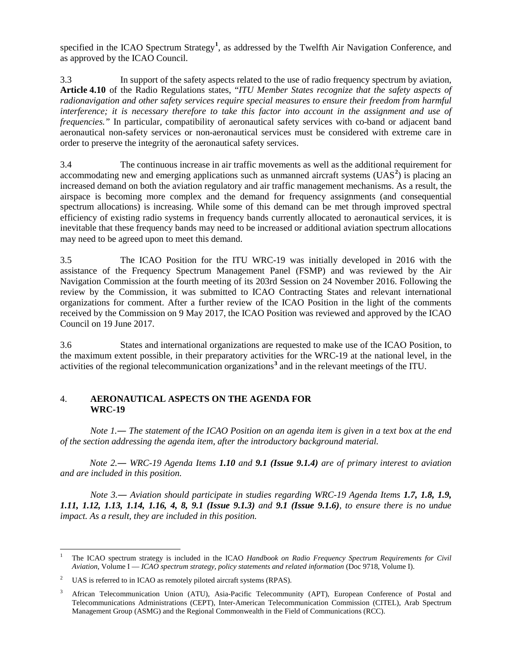specified in the ICAO Spectrum Strategy**[1](#page-2-0)** , as addressed by the Twelfth Air Navigation Conference, and as approved by the ICAO Council.

3.3 In support of the safety aspects related to the use of radio frequency spectrum by aviation, **Article 4.10** of the Radio Regulations states, "*ITU Member States recognize that the safety aspects of radionavigation and other safety services require special measures to ensure their freedom from harmful interference; it is necessary therefore to take this factor into account in the assignment and use of frequencies.*" In particular, compatibility of aeronautical safety services with co-band or adjacent band aeronautical non-safety services or non-aeronautical services must be considered with extreme care in order to preserve the integrity of the aeronautical safety services.

3.4 The continuous increase in air traffic movements as well as the additional requirement for accommodating new and emerging applications such as unmanned aircraft systems (UAS<sup>[2](#page-2-1)</sup>) is placing an increased demand on both the aviation regulatory and air traffic management mechanisms. As a result, the airspace is becoming more complex and the demand for frequency assignments (and consequential spectrum allocations) is increasing. While some of this demand can be met through improved spectral efficiency of existing radio systems in frequency bands currently allocated to aeronautical services, it is inevitable that these frequency bands may need to be increased or additional aviation spectrum allocations may need to be agreed upon to meet this demand.

3.5 The ICAO Position for the ITU WRC-19 was initially developed in 2016 with the assistance of the Frequency Spectrum Management Panel (FSMP) and was reviewed by the Air Navigation Commission at the fourth meeting of its 203rd Session on 24 November 2016. Following the review by the Commission, it was submitted to ICAO Contracting States and relevant international organizations for comment. After a further review of the ICAO Position in the light of the comments received by the Commission on 9 May 2017, the ICAO Position was reviewed and approved by the ICAO Council on 19 June 2017.

3.6 States and international organizations are requested to make use of the ICAO Position, to the maximum extent possible, in their preparatory activities for the WRC-19 at the national level, in the activities of the regional telecommunication organizations**[3](#page-2-2)** and in the relevant meetings of the ITU.

# 4. **AERONAUTICAL ASPECTS ON THE AGENDA FOR WRC-19**

*Note 1.― The statement of the ICAO Position on an agenda item is given in a text box at the end of the section addressing the agenda item, after the introductory background material.*

*Note 2.― WRC-19 Agenda Items 1.10 and 9.1 (Issue 9.1.4) are of primary interest to aviation and are included in this position.*

*Note 3.― Aviation should participate in studies regarding WRC-19 Agenda Items 1.7, 1.8, 1.9, 1.11, 1.12, 1.13, 1.14, 1.16, 4, 8, 9.1 (Issue 9.1.3) and 9.1 (Issue 9.1.6), to ensure there is no undue impact. As a result, they are included in this position.*

 $\overline{a}$ 

<span id="page-2-0"></span><sup>1</sup> The ICAO spectrum strategy is included in the ICAO *Handbook on Radio Frequency Spectrum Requirements for Civil Aviation*, Volume I — *ICAO spectrum strategy, policy statements and related information* (Doc 9718, Volume I).

<span id="page-2-1"></span><sup>&</sup>lt;sup>2</sup> UAS is referred to in ICAO as remotely piloted aircraft systems (RPAS).

<span id="page-2-2"></span><sup>&</sup>lt;sup>3</sup> African Telecommunication Union (ATU), Asia-Pacific Telecommunity (APT), European Conference of Postal and Telecommunications Administrations (CEPT), Inter-American Telecommunication Commission (CITEL), Arab Spectrum Management Group (ASMG) and the Regional Commonwealth in the Field of Communications (RCC).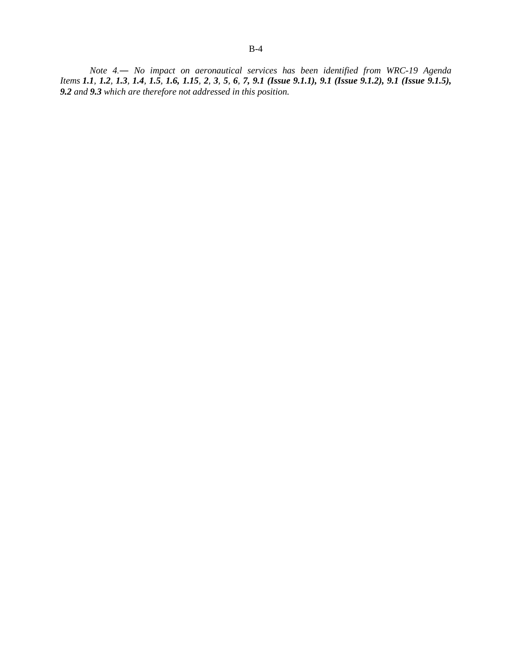*Note 4.― No impact on aeronautical services has been identified from WRC-19 Agenda*  Items 1.1, 1.2, 1.3, 1.4, 1.5, 1.6, 1.15, 2, 3, 5, 6, 7, 9.1 (Issue 9.1.1), 9.1 (Issue 9.1.2), 9.1 (Issue 9.1.5), *9.2 and 9.3 which are therefore not addressed in this position.*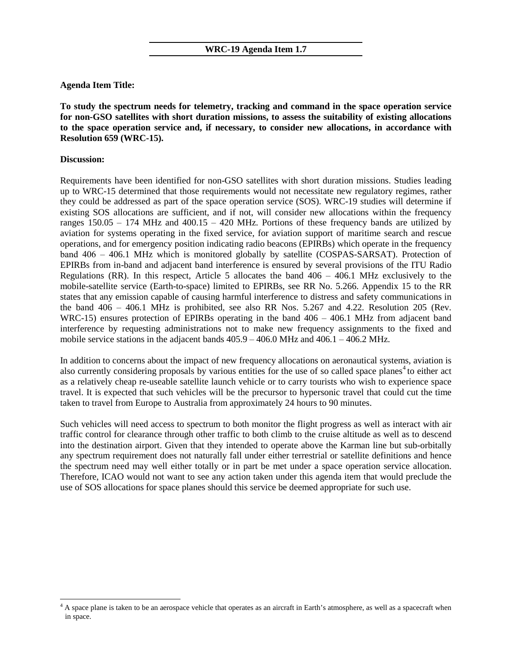# **Agenda Item Title:**

**To study the spectrum needs for telemetry, tracking and command in the space operation service for non-GSO satellites with short duration missions, to assess the suitability of existing allocations to the space operation service and, if necessary, to consider new allocations, in accordance with Resolution 659 (WRC-15).**

# **Discussion:**

 $\ddot{\phantom{a}}$ 

Requirements have been identified for non-GSO satellites with short duration missions. Studies leading up to WRC-15 determined that those requirements would not necessitate new regulatory regimes, rather they could be addressed as part of the space operation service (SOS). WRC-19 studies will determine if existing SOS allocations are sufficient, and if not, will consider new allocations within the frequency ranges  $150.05 - 174$  MHz and  $400.15 - 420$  MHz. Portions of these frequency bands are utilized by aviation for systems operating in the fixed service, for aviation support of maritime search and rescue operations, and for emergency position indicating radio beacons (EPIRBs) which operate in the frequency band  $406 - 406.1$  MHz which is monitored globally by satellite (COSPAS-SARSAT). Protection of EPIRBs from in-band and adjacent band interference is ensured by several provisions of the ITU Radio Regulations (RR). In this respect, Article 5 allocates the band  $406 - 406.1$  MHz exclusively to the mobile-satellite service (Earth-to-space) limited to EPIRBs, see RR No. 5.266. Appendix 15 to the RR states that any emission capable of causing harmful interference to distress and safety communications in the band  $406 - 406.1$  MHz is prohibited, see also RR Nos. 5.267 and 4.22. Resolution 205 (Rev. WRC-15) ensures protection of EPIRBs operating in the band  $406 - 406.1$  MHz from adjacent band interference by requesting administrations not to make new frequency assignments to the fixed and mobile service stations in the adjacent bands  $405.9 - 406.0$  MHz and  $406.1 - 406.2$  MHz.

In addition to concerns about the impact of new frequency allocations on aeronautical systems, aviation is also currently considering proposals by various entities for the use of so called space planes<sup>[4](#page-4-0)</sup> to either act as a relatively cheap re-useable satellite launch vehicle or to carry tourists who wish to experience space travel. It is expected that such vehicles will be the precursor to hypersonic travel that could cut the time taken to travel from Europe to Australia from approximately 24 hours to 90 minutes.

Such vehicles will need access to spectrum to both monitor the flight progress as well as interact with air traffic control for clearance through other traffic to both climb to the cruise altitude as well as to descend into the destination airport. Given that they intended to operate above the Karman line but sub-orbitally any spectrum requirement does not naturally fall under either terrestrial or satellite definitions and hence the spectrum need may well either totally or in part be met under a space operation service allocation. Therefore, ICAO would not want to see any action taken under this agenda item that would preclude the use of SOS allocations for space planes should this service be deemed appropriate for such use.

<span id="page-4-0"></span> $4$  A space plane is taken to be an aerospace vehicle that operates as an aircraft in Earth's atmosphere, as well as a spacecraft when in space.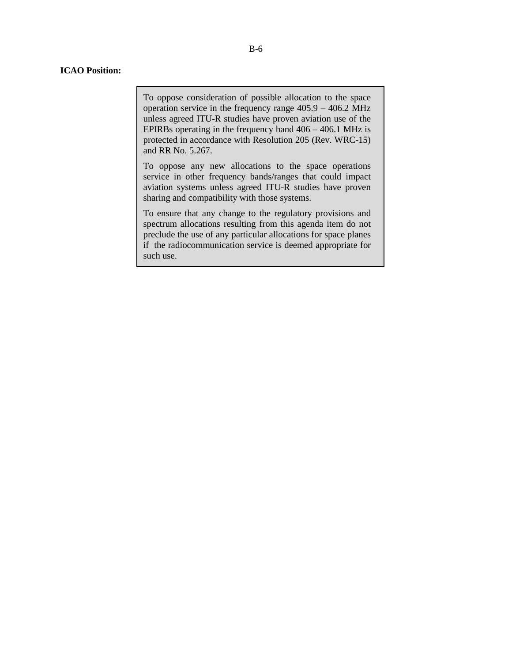To oppose consideration of possible allocation to the space operation service in the frequency range  $405.9 - 406.2$  MHz unless agreed ITU-R studies have proven aviation use of the EPIRBs operating in the frequency band  $406 - 406.1$  MHz is protected in accordance with Resolution 205 (Rev. WRC-15) and RR No. 5.267.

To oppose any new allocations to the space operations service in other frequency bands/ranges that could impact aviation systems unless agreed ITU-R studies have proven sharing and compatibility with those systems.

To ensure that any change to the regulatory provisions and spectrum allocations resulting from this agenda item do not preclude the use of any particular allocations for space planes if the radiocommunication service is deemed appropriate for such use.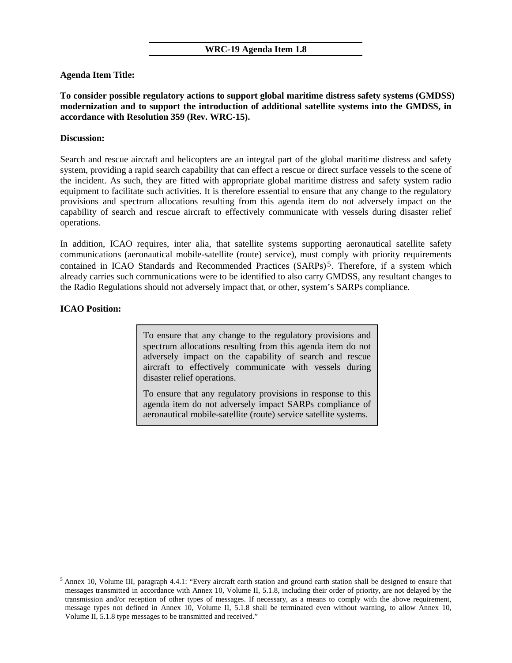# **Agenda Item Title:**

**To consider possible regulatory actions to support global maritime distress safety systems (GMDSS) modernization and to support the introduction of additional satellite systems into the GMDSS, in accordance with Resolution 359 (Rev. WRC-15).**

### **Discussion:**

Search and rescue aircraft and helicopters are an integral part of the global maritime distress and safety system, providing a rapid search capability that can effect a rescue or direct surface vessels to the scene of the incident. As such, they are fitted with appropriate global maritime distress and safety system radio equipment to facilitate such activities. It is therefore essential to ensure that any change to the regulatory provisions and spectrum allocations resulting from this agenda item do not adversely impact on the capability of search and rescue aircraft to effectively communicate with vessels during disaster relief operations.

In addition, ICAO requires, inter alia, that satellite systems supporting aeronautical satellite safety communications (aeronautical mobile-satellite (route) service), must comply with priority requirements contained in ICAO Standards and Recommended Practices (SARPs) [5](#page-6-0). Therefore, if a system which already carries such communications were to be identified to also carry GMDSS, any resultant changes to the Radio Regulations should not adversely impact that, or other, system's SARPs compliance.

# **ICAO Position:**

 $\ddot{\phantom{a}}$ 

To ensure that any change to the regulatory provisions and spectrum allocations resulting from this agenda item do not adversely impact on the capability of search and rescue aircraft to effectively communicate with vessels during disaster relief operations.

To ensure that any regulatory provisions in response to this agenda item do not adversely impact SARPs compliance of aeronautical mobile-satellite (route) service satellite systems.

<span id="page-6-0"></span><sup>5</sup> Annex 10, Volume III, paragraph 4.4.1: "Every aircraft earth station and ground earth station shall be designed to ensure that messages transmitted in accordance with Annex 10, Volume II, 5.1.8, including their order of priority, are not delayed by the transmission and/or reception of other types of messages. If necessary, as a means to comply with the above requirement, message types not defined in Annex 10, Volume II, 5.1.8 shall be terminated even without warning, to allow Annex 10, Volume II, 5.1.8 type messages to be transmitted and received."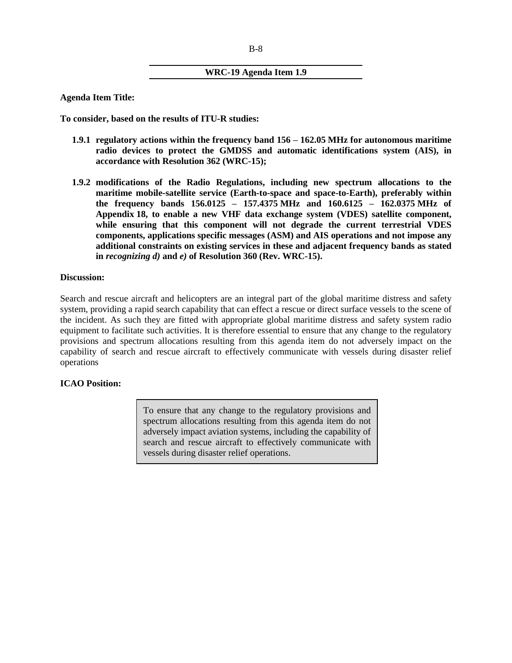# **WRC-19 Agenda Item 1.9**

**Agenda Item Title:**

**To consider, based on the results of ITU-R studies:**

- **1.9.1 regulatory actions within the frequency band 156 ‒ 162.05 MHz for autonomous maritime radio devices to protect the GMDSS and automatic identifications system (AIS), in accordance with Resolution 362 (WRC-15);**
- **1.9.2 modifications of the Radio Regulations, including new spectrum allocations to the maritime mobile-satellite service (Earth-to-space and space-to-Earth), preferably within the frequency bands 156.0125 ‒ 157.4375 MHz and 160.6125 ‒ 162.0375 MHz of Appendix 18, to enable a new VHF data exchange system (VDES) satellite component, while ensuring that this component will not degrade the current terrestrial VDES components, applications specific messages (ASM) and AIS operations and not impose any additional constraints on existing services in these and adjacent frequency bands as stated in** *recognizing d)* **and** *e)* **of Resolution 360 (Rev. WRC-15).**

### **Discussion:**

Search and rescue aircraft and helicopters are an integral part of the global maritime distress and safety system, providing a rapid search capability that can effect a rescue or direct surface vessels to the scene of the incident. As such they are fitted with appropriate global maritime distress and safety system radio equipment to facilitate such activities. It is therefore essential to ensure that any change to the regulatory provisions and spectrum allocations resulting from this agenda item do not adversely impact on the capability of search and rescue aircraft to effectively communicate with vessels during disaster relief operations

# **ICAO Position:**

To ensure that any change to the regulatory provisions and spectrum allocations resulting from this agenda item do not adversely impact aviation systems, including the capability of search and rescue aircraft to effectively communicate with vessels during disaster relief operations.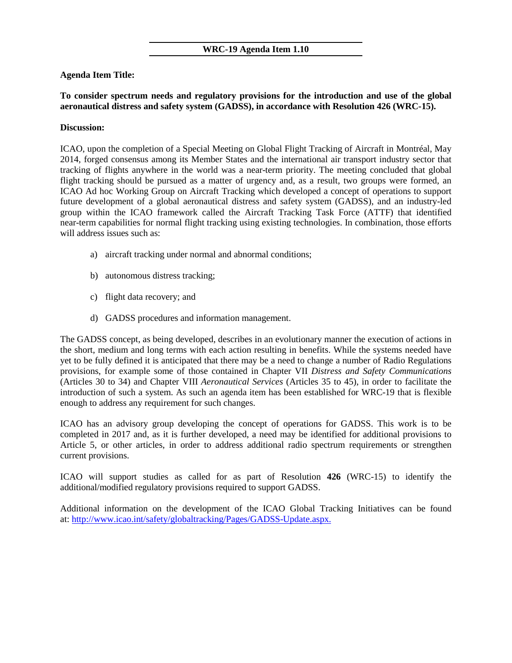## **WRC-19 Agenda Item 1.10**

# **Agenda Item Title:**

# **To consider spectrum needs and regulatory provisions for the introduction and use of the global aeronautical distress and safety system (GADSS), in accordance with Resolution 426 (WRC-15).**

### **Discussion:**

ICAO, upon the completion of a Special Meeting on Global Flight Tracking of Aircraft in Montréal, May 2014, forged consensus among its Member States and the international air transport industry sector that tracking of flights anywhere in the world was a near-term priority. The meeting concluded that global flight tracking should be pursued as a matter of urgency and, as a result, two groups were formed, an ICAO Ad hoc Working Group on Aircraft Tracking which developed a concept of operations to support future development of a global aeronautical distress and safety system (GADSS), and an industry-led group within the ICAO framework called the Aircraft Tracking Task Force (ATTF) that identified near-term capabilities for normal flight tracking using existing technologies. In combination, those efforts will address issues such as:

- a) aircraft tracking under normal and abnormal conditions;
- b) autonomous distress tracking;
- c) flight data recovery; and
- d) GADSS procedures and information management.

The GADSS concept, as being developed, describes in an evolutionary manner the execution of actions in the short, medium and long terms with each action resulting in benefits. While the systems needed have yet to be fully defined it is anticipated that there may be a need to change a number of Radio Regulations provisions, for example some of those contained in Chapter VII *Distress and Safety Communications* (Articles 30 to 34) and Chapter VIII *Aeronautical Services* (Articles 35 to 45), in order to facilitate the introduction of such a system. As such an agenda item has been established for WRC-19 that is flexible enough to address any requirement for such changes.

ICAO has an advisory group developing the concept of operations for GADSS. This work is to be completed in 2017 and, as it is further developed, a need may be identified for additional provisions to Article 5, or other articles, in order to address additional radio spectrum requirements or strengthen current provisions.

ICAO will support studies as called for as part of Resolution **426** (WRC-15) to identify the additional/modified regulatory provisions required to support GADSS.

Additional information on the development of the ICAO Global Tracking Initiatives can be found at[: http://www.icao.int/safety/globaltracking/Pages/GADSS-Update.aspx.](http://www.icao.int/safety/globaltracking/Pages/GADSS-Update.aspx)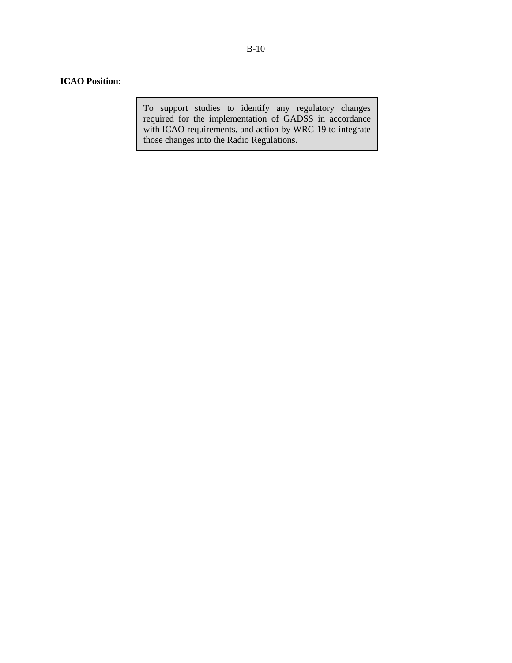# **ICAO Position:**

To support studies to identify any regulatory changes required for the implementation of GADSS in accordance with ICAO requirements, and action by WRC-19 to integrate those changes into the Radio Regulations.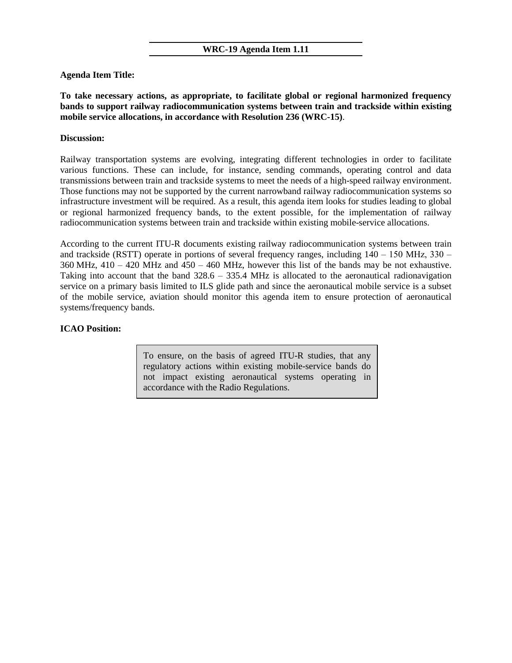### **WRC-19 Agenda Item 1.11**

# **Agenda Item Title:**

**To take necessary actions, as appropriate, to facilitate global or regional harmonized frequency bands to support railway radiocommunication systems between train and trackside within existing mobile service allocations, in accordance with Resolution 236 (WRC-15)**.

# **Discussion:**

Railway transportation systems are evolving, integrating different technologies in order to facilitate various functions. These can include, for instance, sending commands, operating control and data transmissions between train and trackside systems to meet the needs of a high-speed railway environment. Those functions may not be supported by the current narrowband railway radiocommunication systems so infrastructure investment will be required. As a result, this agenda item looks for studies leading to global or regional harmonized frequency bands, to the extent possible, for the implementation of railway radiocommunication systems between train and trackside within existing mobile-service allocations.

According to the current ITU-R documents existing railway radiocommunication systems between train and trackside (RSTT) operate in portions of several frequency ranges, including  $140 - 150$  MHz,  $330 360$  MHz,  $410 - 420$  MHz and  $450 - 460$  MHz, however this list of the bands may be not exhaustive. Taking into account that the band  $328.6 - 335.4 \text{ MHz}$  is allocated to the aeronautical radionavigation service on a primary basis limited to ILS glide path and since the aeronautical mobile service is a subset of the mobile service, aviation should monitor this agenda item to ensure protection of aeronautical systems/frequency bands.

# **ICAO Position:**

To ensure, on the basis of agreed ITU-R studies, that any regulatory actions within existing mobile-service bands do not impact existing aeronautical systems operating in accordance with the Radio Regulations.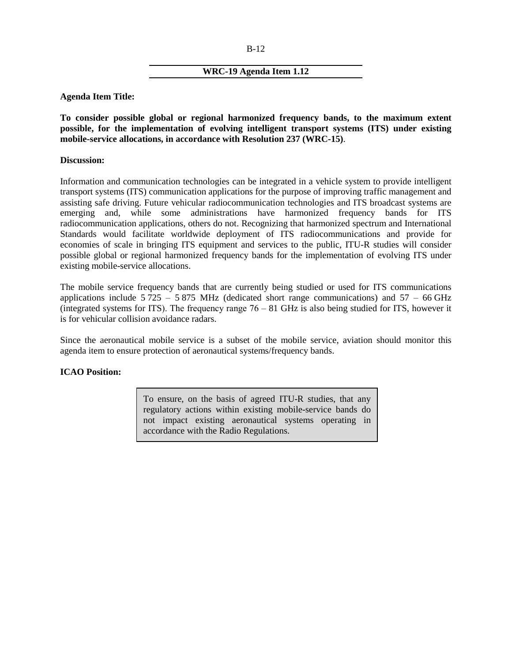#### B-12

### **WRC-19 Agenda Item 1.12**

**Agenda Item Title:**

**To consider possible global or regional harmonized frequency bands, to the maximum extent possible, for the implementation of evolving intelligent transport systems (ITS) under existing mobile-service allocations, in accordance with Resolution 237 (WRC-15)**.

#### **Discussion:**

Information and communication technologies can be integrated in a vehicle system to provide intelligent transport systems (ITS) communication applications for the purpose of improving traffic management and assisting safe driving. Future vehicular radiocommunication technologies and ITS broadcast systems are emerging and, while some administrations have harmonized frequency bands for ITS radiocommunication applications, others do not. Recognizing that harmonized spectrum and International Standards would facilitate worldwide deployment of ITS radiocommunications and provide for economies of scale in bringing ITS equipment and services to the public, ITU-R studies will consider possible global or regional harmonized frequency bands for the implementation of evolving ITS under existing mobile-service allocations.

The mobile service frequency bands that are currently being studied or used for ITS communications applications include  $5725 - 5875$  MHz (dedicated short range communications) and  $57 - 66$  GHz (integrated systems for ITS). The frequency range  $76 - 81$  GHz is also being studied for ITS, however it is for vehicular collision avoidance radars.

Since the aeronautical mobile service is a subset of the mobile service, aviation should monitor this agenda item to ensure protection of aeronautical systems/frequency bands.

# **ICAO Position:**

To ensure, on the basis of agreed ITU-R studies, that any regulatory actions within existing mobile-service bands do not impact existing aeronautical systems operating in accordance with the Radio Regulations.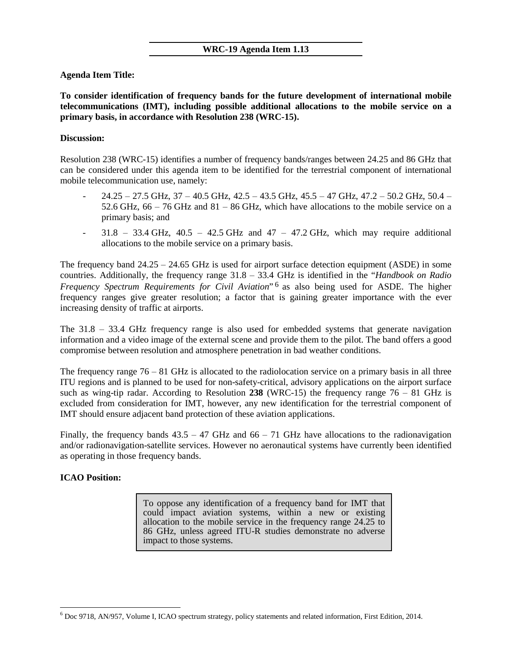# **Agenda Item Title:**

**To consider identification of frequency bands for the future development of international mobile telecommunications (IMT), including possible additional allocations to the mobile service on a primary basis, in accordance with Resolution 238 (WRC-15).**

# **Discussion:**

Resolution 238 (WRC-15) identifies a number of frequency bands/ranges between 24.25 and 86 GHz that can be considered under this agenda item to be identified for the terrestrial component of international mobile telecommunication use, namely:

- $24.25 27.5$  GHz,  $37 40.5$  GHz,  $42.5 43.5$  GHz,  $45.5 47$  GHz,  $47.2 50.2$  GHz,  $50.4 -$ 52.6 GHz,  $66 - 76$  GHz and  $81 - 86$  GHz, which have allocations to the mobile service on a primary basis; and
- $31.8 33.4 \text{ GHz}$ ,  $40.5 42.5 \text{ GHz}$  and  $47 47.2 \text{ GHz}$ , which may require additional allocations to the mobile service on a primary basis.

The frequency band  $24.25 - 24.65$  GHz is used for airport surface detection equipment (ASDE) in some countries. Additionally, the frequency range 31.8 ‒ 33.4 GHz is identified in the "*Handbook on Radio Frequency Spectrum Requirements for Civil Aviation*<sup>"[6](#page-12-0)</sup> as also being used for ASDE. The higher frequency ranges give greater resolution; a factor that is gaining greater importance with the ever increasing density of traffic at airports.

The  $31.8 - 33.4$  GHz frequency range is also used for embedded systems that generate navigation information and a video image of the external scene and provide them to the pilot. The band offers a good compromise between resolution and atmosphere penetration in bad weather conditions.

The frequency range  $76 - 81$  GHz is allocated to the radiolocation service on a primary basis in all three ITU regions and is planned to be used for non-safety-critical, advisory applications on the airport surface such as wing-tip radar. According to Resolution 238 (WRC-15) the frequency range  $76 - 81$  GHz is excluded from consideration for IMT, however, any new identification for the terrestrial component of IMT should ensure adjacent band protection of these aviation applications.

Finally, the frequency bands  $43.5 - 47$  GHz and  $66 - 71$  GHz have allocations to the radionavigation and/or radionavigation-satellite services. However no aeronautical systems have currently been identified as operating in those frequency bands.

# **ICAO Position:**

 $\overline{a}$ 

To oppose any identification of a frequency band for IMT that could impact aviation systems, within a new or existing allocation to the mobile service in the frequency range 24.25 to 86 GHz, unless agreed ITU-R studies demonstrate no adverse impact to those systems.

<span id="page-12-0"></span><sup>6</sup> Doc 9718, AN/957, Volume I, ICAO spectrum strategy, policy statements and related information, First Edition, 2014.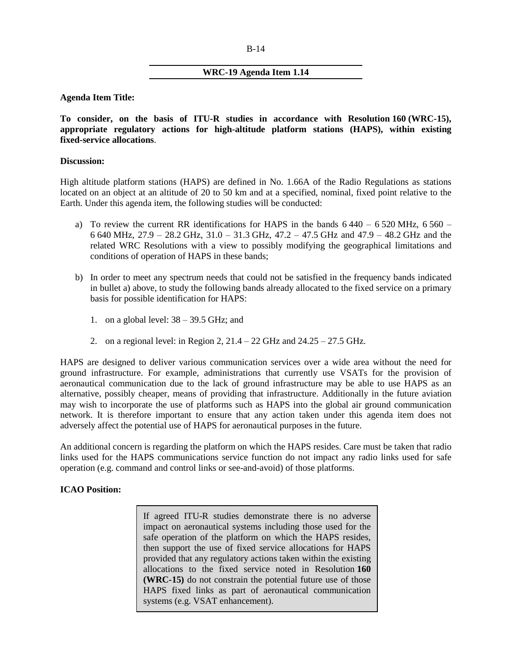#### B-14

# **WRC-19 Agenda Item 1.14**

**Agenda Item Title:**

**To consider, on the basis of ITU-R studies in accordance with Resolution 160 (WRC-15), appropriate regulatory actions for high-altitude platform stations (HAPS), within existing fixed-service allocations**.

### **Discussion:**

High altitude platform stations (HAPS) are defined in No. 1.66A of the Radio Regulations as stations located on an object at an altitude of 20 to 50 km and at a specified, nominal, fixed point relative to the Earth. Under this agenda item, the following studies will be conducted:

- a) To review the current RR identifications for HAPS in the bands  $6440 6520$  MHz,  $6560 -$ 6 640 MHz,  $27.9 - 28.2$  GHz,  $31.0 - 31.3$  GHz,  $47.2 - 47.5$  GHz and  $47.9 - 48.2$  GHz and the related WRC Resolutions with a view to possibly modifying the geographical limitations and conditions of operation of HAPS in these bands;
- b) In order to meet any spectrum needs that could not be satisfied in the frequency bands indicated in bullet a) above, to study the following bands already allocated to the fixed service on a primary basis for possible identification for HAPS:
	- 1. on a global level:  $38 39.5$  GHz; and
	- 2. on a regional level: in Region 2,  $21.4 22$  GHz and  $24.25 27.5$  GHz.

HAPS are designed to deliver various communication services over a wide area without the need for ground infrastructure. For example, administrations that currently use VSATs for the provision of aeronautical communication due to the lack of ground infrastructure may be able to use HAPS as an alternative, possibly cheaper, means of providing that infrastructure. Additionally in the future aviation may wish to incorporate the use of platforms such as HAPS into the global air ground communication network. It is therefore important to ensure that any action taken under this agenda item does not adversely affect the potential use of HAPS for aeronautical purposes in the future.

An additional concern is regarding the platform on which the HAPS resides. Care must be taken that radio links used for the HAPS communications service function do not impact any radio links used for safe operation (e.g. command and control links or see-and-avoid) of those platforms.

# **ICAO Position:**

If agreed ITU-R studies demonstrate there is no adverse impact on aeronautical systems including those used for the safe operation of the platform on which the HAPS resides, then support the use of fixed service allocations for HAPS provided that any regulatory actions taken within the existing allocations to the fixed service noted in Resolution **160 (WRC-15)** do not constrain the potential future use of those HAPS fixed links as part of aeronautical communication systems (e.g. VSAT enhancement).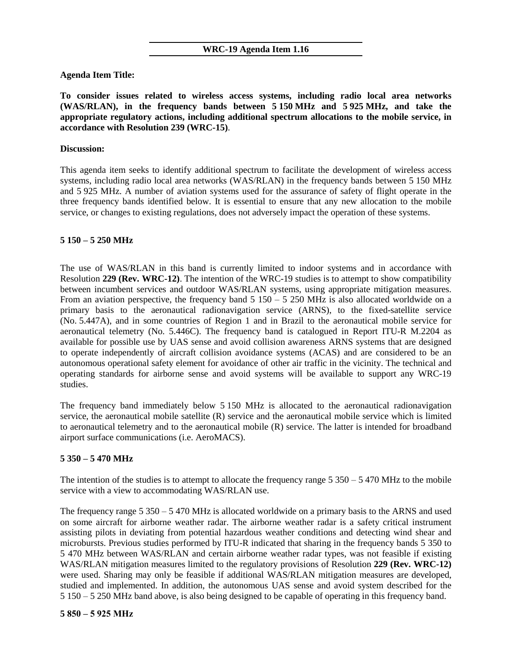### **WRC-19 Agenda Item 1.16**

**Agenda Item Title:**

**To consider issues related to wireless access systems, including radio local area networks (WAS/RLAN), in the frequency bands between 5 150 MHz and 5 925 MHz, and take the appropriate regulatory actions, including additional spectrum allocations to the mobile service, in accordance with Resolution 239 (WRC-15)**.

### **Discussion:**

This agenda item seeks to identify additional spectrum to facilitate the development of wireless access systems, including radio local area networks (WAS/RLAN) in the frequency bands between 5 150 MHz and 5 925 MHz. A number of aviation systems used for the assurance of safety of flight operate in the three frequency bands identified below. It is essential to ensure that any new allocation to the mobile service, or changes to existing regulations, does not adversely impact the operation of these systems.

### **5 150 ‒ 5 250 MHz**

The use of WAS/RLAN in this band is currently limited to indoor systems and in accordance with Resolution **229 (Rev. WRC-12)**. The intention of the WRC-19 studies is to attempt to show compatibility between incumbent services and outdoor WAS/RLAN systems, using appropriate mitigation measures. From an aviation perspective, the frequency band  $5\,150 - 5\,250$  MHz is also allocated worldwide on a primary basis to the aeronautical radionavigation service (ARNS), to the fixed-satellite service (No. 5.447A), and in some countries of Region 1 and in Brazil to the aeronautical mobile service for aeronautical telemetry (No. 5.446C). The frequency band is catalogued in Report ITU-R M.2204 as available for possible use by UAS sense and avoid collision awareness ARNS systems that are designed to operate independently of aircraft collision avoidance systems (ACAS) and are considered to be an autonomous operational safety element for avoidance of other air traffic in the vicinity. The technical and operating standards for airborne sense and avoid systems will be available to support any WRC-19 studies.

The frequency band immediately below 5 150 MHz is allocated to the aeronautical radionavigation service, the aeronautical mobile satellite (R) service and the aeronautical mobile service which is limited to aeronautical telemetry and to the aeronautical mobile (R) service. The latter is intended for broadband airport surface communications (i.e. AeroMACS).

# **5 350 ‒ 5 470 MHz**

The intention of the studies is to attempt to allocate the frequency range  $5\,350 - 5\,470$  MHz to the mobile service with a view to accommodating WAS/RLAN use.

The frequency range  $5\,350 - 5\,470$  MHz is allocated worldwide on a primary basis to the ARNS and used on some aircraft for airborne weather radar. The airborne weather radar is a safety critical instrument assisting pilots in deviating from potential hazardous weather conditions and detecting wind shear and microbursts. Previous studies performed by ITU-R indicated that sharing in the frequency bands 5 350 to 5 470 MHz between WAS/RLAN and certain airborne weather radar types, was not feasible if existing WAS/RLAN mitigation measures limited to the regulatory provisions of Resolution **229 (Rev. WRC-12)** were used. Sharing may only be feasible if additional WAS/RLAN mitigation measures are developed, studied and implemented. In addition, the autonomous UAS sense and avoid system described for the 5 150 ‒ 5 250 MHz band above, is also being designed to be capable of operating in this frequency band.

#### **5 850 ‒ 5 925 MHz**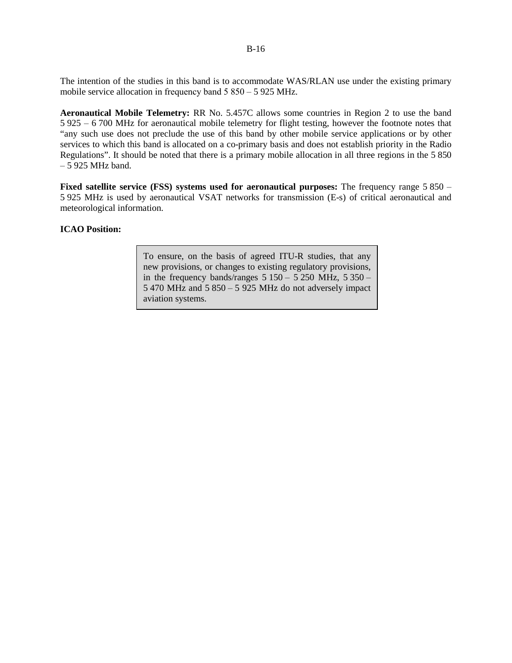The intention of the studies in this band is to accommodate WAS/RLAN use under the existing primary mobile service allocation in frequency band  $5850 - 5925$  MHz.

**Aeronautical Mobile Telemetry:** RR No. 5.457C allows some countries in Region 2 to use the band 5 925 ‒ 6 700 MHz for aeronautical mobile telemetry for flight testing, however the footnote notes that "any such use does not preclude the use of this band by other mobile service applications or by other services to which this band is allocated on a co-primary basis and does not establish priority in the Radio Regulations". It should be noted that there is a primary mobile allocation in all three regions in the 5 850  $-5$  925 MHz band.

**Fixed satellite service (FSS) systems used for aeronautical purposes:** The frequency range 5 850 – 5 925 MHz is used by aeronautical VSAT networks for transmission (E-s) of critical aeronautical and meteorological information.

### **ICAO Position:**

To ensure, on the basis of agreed ITU-R studies, that any new provisions, or changes to existing regulatory provisions, in the frequency bands/ranges  $5 150 - 5 250$  MHz,  $5 350 -$ 5 470 MHz and  $5850 - 5925$  MHz do not adversely impact aviation systems.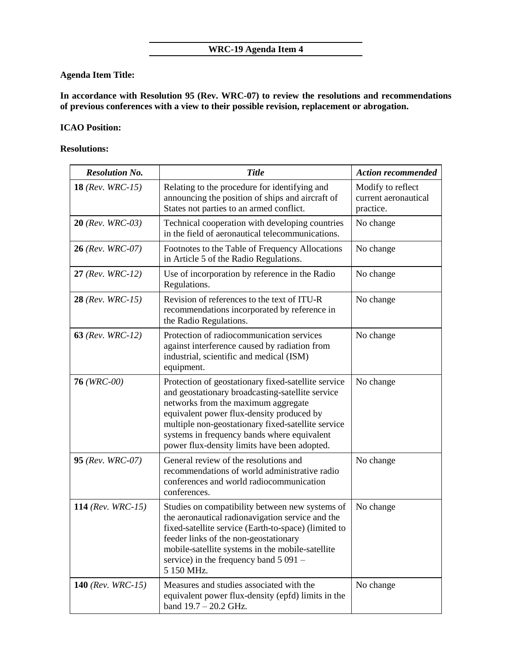# **Agenda Item Title:**

**In accordance with Resolution 95 (Rev. WRC-07) to review the resolutions and recommendations of previous conferences with a view to their possible revision, replacement or abrogation.**

# **ICAO Position:**

# **Resolutions:**

| <b>Resolution No.</b>       | <b>Title</b>                                                                                                                                                                                                                                                                                                                                     | <b>Action recommended</b>                              |
|-----------------------------|--------------------------------------------------------------------------------------------------------------------------------------------------------------------------------------------------------------------------------------------------------------------------------------------------------------------------------------------------|--------------------------------------------------------|
| <b>18</b> (Rev. WRC-15)     | Relating to the procedure for identifying and<br>announcing the position of ships and aircraft of<br>States not parties to an armed conflict.                                                                                                                                                                                                    | Modify to reflect<br>current aeronautical<br>practice. |
| <b>20</b> (Rev. WRC-03)     | Technical cooperation with developing countries<br>in the field of aeronautical telecommunications.                                                                                                                                                                                                                                              | No change                                              |
| $26$ (Rev. WRC-07)          | Footnotes to the Table of Frequency Allocations<br>in Article 5 of the Radio Regulations.                                                                                                                                                                                                                                                        | No change                                              |
| $27$ (Rev. WRC-12)          | Use of incorporation by reference in the Radio<br>Regulations.                                                                                                                                                                                                                                                                                   | No change                                              |
| <b>28</b> (Rev. WRC-15)     | Revision of references to the text of ITU-R<br>recommendations incorporated by reference in<br>the Radio Regulations.                                                                                                                                                                                                                            | No change                                              |
| <b>63</b> ( $Rev. WRC-12$ ) | Protection of radiocommunication services<br>against interference caused by radiation from<br>industrial, scientific and medical (ISM)<br>equipment.                                                                                                                                                                                             | No change                                              |
| $76$ (WRC-00)               | Protection of geostationary fixed-satellite service<br>and geostationary broadcasting-satellite service<br>networks from the maximum aggregate<br>equivalent power flux-density produced by<br>multiple non-geostationary fixed-satellite service<br>systems in frequency bands where equivalent<br>power flux-density limits have been adopted. | No change                                              |
| <b>95</b> (Rev. WRC-07)     | General review of the resolutions and<br>recommendations of world administrative radio<br>conferences and world radiocommunication<br>conferences.                                                                                                                                                                                               | No change                                              |
| 114 (Rev. WRC-15)           | Studies on compatibility between new systems of<br>the aeronautical radionavigation service and the<br>fixed-satellite service (Earth-to-space) (limited to<br>feeder links of the non-geostationary<br>mobile-satellite systems in the mobile-satellite<br>service) in the frequency band $5091 -$<br>5 150 MHz.                                | No change                                              |
| 140 ( $Rev. WRC-15$ )       | Measures and studies associated with the<br>equivalent power flux-density (epfd) limits in the<br>band $19.7 - 20.2$ GHz.                                                                                                                                                                                                                        | No change                                              |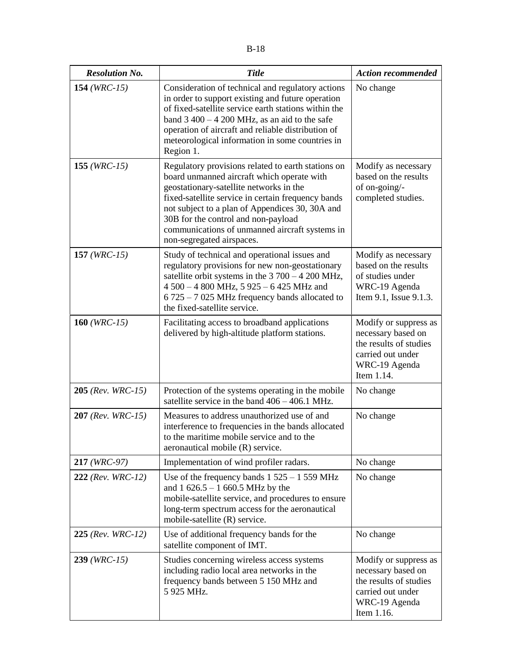| <b>Resolution No.</b>    | <b>Title</b>                                                                                                                                                                                                                                                                                                                                                               | <b>Action recommended</b>                                                                                                 |
|--------------------------|----------------------------------------------------------------------------------------------------------------------------------------------------------------------------------------------------------------------------------------------------------------------------------------------------------------------------------------------------------------------------|---------------------------------------------------------------------------------------------------------------------------|
| 154 ( $WRC-15$ )         | Consideration of technical and regulatory actions<br>in order to support existing and future operation<br>of fixed-satellite service earth stations within the<br>band $3\,400 - 4\,200$ MHz, as an aid to the safe<br>operation of aircraft and reliable distribution of<br>meteorological information in some countries in<br>Region 1.                                  | No change                                                                                                                 |
| 155 ( $WRC-15$ )         | Regulatory provisions related to earth stations on<br>board unmanned aircraft which operate with<br>geostationary-satellite networks in the<br>fixed-satellite service in certain frequency bands<br>not subject to a plan of Appendices 30, 30A and<br>30B for the control and non-payload<br>communications of unmanned aircraft systems in<br>non-segregated airspaces. | Modify as necessary<br>based on the results<br>of on-going/-<br>completed studies.                                        |
| 157 ( $WRC-15$ )         | Study of technical and operational issues and<br>regulatory provisions for new non-geostationary<br>satellite orbit systems in the $3700 - 4200$ MHz,<br>4 500 - 4 800 MHz, 5 925 - 6 425 MHz and<br>6 725 - 7 025 MHz frequency bands allocated to<br>the fixed-satellite service.                                                                                        | Modify as necessary<br>based on the results<br>of studies under<br>WRC-19 Agenda<br>Item 9.1, Issue 9.1.3.                |
| 160 ( $WRC-15$ )         | Facilitating access to broadband applications<br>delivered by high-altitude platform stations.                                                                                                                                                                                                                                                                             | Modify or suppress as<br>necessary based on<br>the results of studies<br>carried out under<br>WRC-19 Agenda<br>Item 1.14. |
| $205$ (Rev. WRC-15)      | Protection of the systems operating in the mobile<br>satellite service in the band $406 - 406.1$ MHz.                                                                                                                                                                                                                                                                      | No change                                                                                                                 |
| <b>207</b> (Rev. WRC-15) | Measures to address unauthorized use of and<br>interference to frequencies in the bands allocated<br>to the maritime mobile service and to the<br>aeronautical mobile (R) service.                                                                                                                                                                                         | No change                                                                                                                 |
| 217 (WRC-97)             | Implementation of wind profiler radars.                                                                                                                                                                                                                                                                                                                                    | No change                                                                                                                 |
| $222$ (Rev. WRC-12)      | Use of the frequency bands $1\,525 - 1\,559\,\mathrm{MHz}$<br>and $1626.5 - 1660.5$ MHz by the<br>mobile-satellite service, and procedures to ensure<br>long-term spectrum access for the aeronautical<br>mobile-satellite (R) service.                                                                                                                                    | No change                                                                                                                 |
| $225$ (Rev. WRC-12)      | Use of additional frequency bands for the<br>satellite component of IMT.                                                                                                                                                                                                                                                                                                   | No change                                                                                                                 |
| $239$ (WRC-15)           | Studies concerning wireless access systems<br>including radio local area networks in the<br>frequency bands between 5 150 MHz and<br>5 925 MHz.                                                                                                                                                                                                                            | Modify or suppress as<br>necessary based on<br>the results of studies<br>carried out under<br>WRC-19 Agenda<br>Item 1.16. |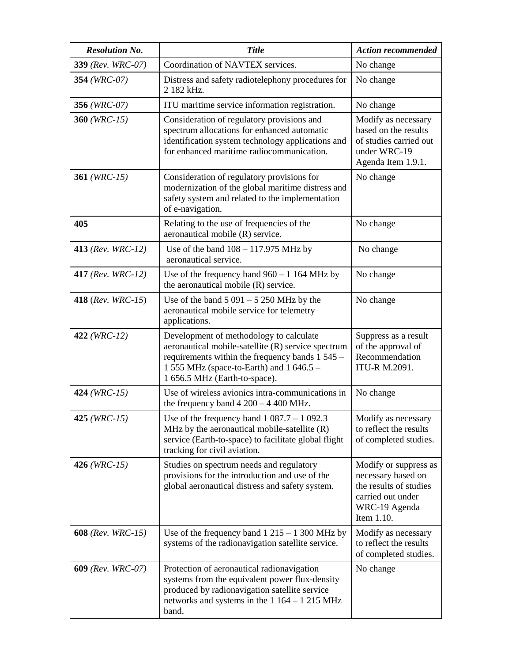| <b>Resolution No.</b>        | <b>Title</b>                                                                                                                                                                                                                  | <b>Action recommended</b>                                                                                                 |
|------------------------------|-------------------------------------------------------------------------------------------------------------------------------------------------------------------------------------------------------------------------------|---------------------------------------------------------------------------------------------------------------------------|
| 339 (Rev. WRC-07)            | Coordination of NAVTEX services.                                                                                                                                                                                              | No change                                                                                                                 |
| 354 (WRC-07)                 | Distress and safety radiotelephony procedures for<br>2 182 kHz.                                                                                                                                                               | No change                                                                                                                 |
| 356 ( $WRC-07$ )             | ITU maritime service information registration.                                                                                                                                                                                | No change                                                                                                                 |
| 360 ( $WRC-15$ )             | Consideration of regulatory provisions and<br>spectrum allocations for enhanced automatic<br>identification system technology applications and<br>for enhanced maritime radiocommunication.                                   | Modify as necessary<br>based on the results<br>of studies carried out<br>under WRC-19<br>Agenda Item 1.9.1.               |
| 361 ( $WRC-15$ )             | Consideration of regulatory provisions for<br>modernization of the global maritime distress and<br>safety system and related to the implementation<br>of e-navigation.                                                        | No change                                                                                                                 |
| 405                          | Relating to the use of frequencies of the<br>aeronautical mobile (R) service.                                                                                                                                                 | No change                                                                                                                 |
| 413 (Rev. WRC-12)            | Use of the band $108 - 117.975$ MHz by<br>aeronautical service.                                                                                                                                                               | No change                                                                                                                 |
| 417 ( $Rev. WRC-12$ )        | Use of the frequency band $960 - 1164$ MHz by<br>the aeronautical mobile (R) service.                                                                                                                                         | No change                                                                                                                 |
| 418 ( $Rev. WRC-15$ )        | Use of the band $5091 - 5250$ MHz by the<br>aeronautical mobile service for telemetry<br>applications.                                                                                                                        | No change                                                                                                                 |
| $422$ (WRC-12)               | Development of methodology to calculate<br>aeronautical mobile-satellite (R) service spectrum<br>requirements within the frequency bands 1 545 –<br>1 555 MHz (space-to-Earth) and 1 646.5 -<br>1 656.5 MHz (Earth-to-space). | Suppress as a result<br>of the approval of<br>Recommendation<br><b>ITU-R M.2091.</b>                                      |
| 424 ( $WRC-15$ )             | Use of wireless avionics intra-communications in<br>the frequency band $4200 - 4400$ MHz.                                                                                                                                     | No change                                                                                                                 |
| 425 ( $WRC-15$ )             | Use of the frequency band $1087.7 - 1092.3$<br>MHz by the aeronautical mobile-satellite $(R)$<br>service (Earth-to-space) to facilitate global flight<br>tracking for civil aviation.                                         | Modify as necessary<br>to reflect the results<br>of completed studies.                                                    |
| 426 ( $WRC-15$ )             | Studies on spectrum needs and regulatory<br>provisions for the introduction and use of the<br>global aeronautical distress and safety system.                                                                                 | Modify or suppress as<br>necessary based on<br>the results of studies<br>carried out under<br>WRC-19 Agenda<br>Item 1.10. |
| <b>608</b> ( $Rev. WRC-15$ ) | Use of the frequency band $1215 - 1300$ MHz by<br>systems of the radionavigation satellite service.                                                                                                                           | Modify as necessary<br>to reflect the results<br>of completed studies.                                                    |
| <b>609</b> (Rev. WRC-07)     | Protection of aeronautical radionavigation<br>systems from the equivalent power flux-density<br>produced by radionavigation satellite service<br>networks and systems in the $1164 - 1215 \text{ MHz}$<br>band.               | No change                                                                                                                 |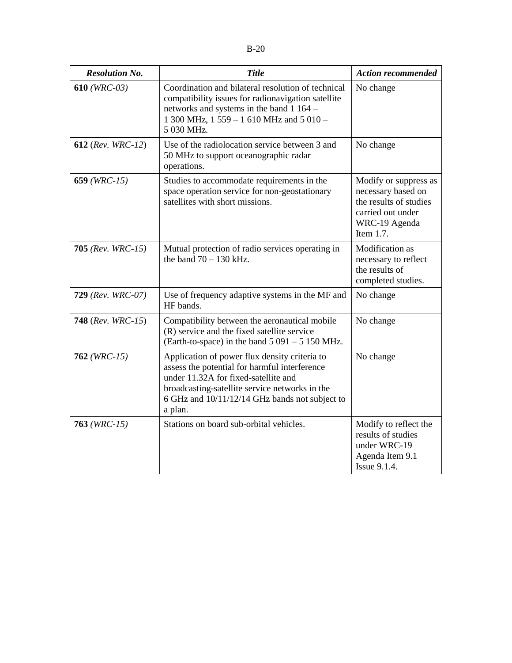| <b>Resolution No.</b>    | <b>Title</b>                                                                                                                                                                                                                                          | <b>Action recommended</b>                                                                                                   |
|--------------------------|-------------------------------------------------------------------------------------------------------------------------------------------------------------------------------------------------------------------------------------------------------|-----------------------------------------------------------------------------------------------------------------------------|
| $610$ (WRC-03)           | Coordination and bilateral resolution of technical<br>compatibility issues for radionavigation satellite<br>networks and systems in the band 1 164 -<br>1 300 MHz, 1 559 - 1 610 MHz and 5 010 -<br>5 030 MHz.                                        | No change                                                                                                                   |
| <b>612</b> (Rev. WRC-12) | Use of the radiolocation service between 3 and<br>50 MHz to support oceanographic radar<br>operations.                                                                                                                                                | No change                                                                                                                   |
| 659 ( $WRC-15$ )         | Studies to accommodate requirements in the<br>space operation service for non-geostationary<br>satellites with short missions.                                                                                                                        | Modify or suppress as<br>necessary based on<br>the results of studies<br>carried out under<br>WRC-19 Agenda<br>Item $1.7$ . |
| 705 ( $Rev. WRC-15$ )    | Mutual protection of radio services operating in<br>the band $70 - 130$ kHz.                                                                                                                                                                          | Modification as<br>necessary to reflect<br>the results of<br>completed studies.                                             |
| <b>729</b> (Rev. WRC-07) | Use of frequency adaptive systems in the MF and<br>HF bands.                                                                                                                                                                                          | No change                                                                                                                   |
| <b>748</b> (Rev. WRC-15) | Compatibility between the aeronautical mobile<br>(R) service and the fixed satellite service<br>(Earth-to-space) in the band $5091 - 5150$ MHz.                                                                                                       | No change                                                                                                                   |
| $762$ (WRC-15)           | Application of power flux density criteria to<br>assess the potential for harmful interference<br>under 11.32A for fixed-satellite and<br>broadcasting-satellite service networks in the<br>6 GHz and 10/11/12/14 GHz bands not subject to<br>a plan. | No change                                                                                                                   |
| $763$ (WRC-15)           | Stations on board sub-orbital vehicles.                                                                                                                                                                                                               | Modify to reflect the<br>results of studies<br>under WRC-19<br>Agenda Item 9.1<br><b>Issue 9.1.4.</b>                       |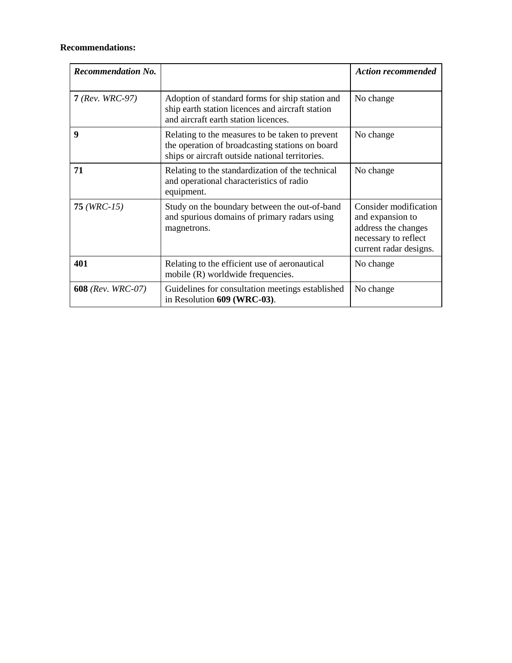# **Recommendations:**

| <b>Recommendation No.</b> |                                                                                                                                                       | <b>Action recommended</b>                                                                                          |
|---------------------------|-------------------------------------------------------------------------------------------------------------------------------------------------------|--------------------------------------------------------------------------------------------------------------------|
| $7$ (Rev. WRC-97)         | Adoption of standard forms for ship station and<br>ship earth station licences and aircraft station<br>and aircraft earth station licences.           | No change                                                                                                          |
| 9                         | Relating to the measures to be taken to prevent<br>the operation of broadcasting stations on board<br>ships or aircraft outside national territories. | No change                                                                                                          |
| 71                        | Relating to the standardization of the technical<br>and operational characteristics of radio<br>equipment.                                            | No change                                                                                                          |
| $75$ (WRC-15)             | Study on the boundary between the out-of-band<br>and spurious domains of primary radars using<br>magnetrons.                                          | Consider modification<br>and expansion to<br>address the changes<br>necessary to reflect<br>current radar designs. |
| 401                       | Relating to the efficient use of aeronautical<br>mobile (R) worldwide frequencies.                                                                    | No change                                                                                                          |
| <b>608</b> (Rev. WRC-07)  | Guidelines for consultation meetings established<br>in Resolution 609 (WRC-03).                                                                       | No change                                                                                                          |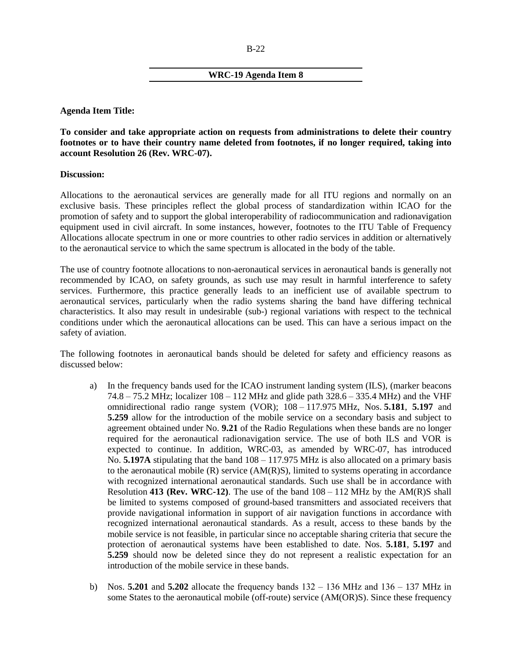#### B-22

#### **WRC-19 Agenda Item 8**

**Agenda Item Title:**

**To consider and take appropriate action on requests from administrations to delete their country footnotes or to have their country name deleted from footnotes, if no longer required, taking into account Resolution 26 (Rev. WRC-07).**

#### **Discussion:**

Allocations to the aeronautical services are generally made for all ITU regions and normally on an exclusive basis. These principles reflect the global process of standardization within ICAO for the promotion of safety and to support the global interoperability of radiocommunication and radionavigation equipment used in civil aircraft. In some instances, however, footnotes to the ITU Table of Frequency Allocations allocate spectrum in one or more countries to other radio services in addition or alternatively to the aeronautical service to which the same spectrum is allocated in the body of the table.

The use of country footnote allocations to non-aeronautical services in aeronautical bands is generally not recommended by ICAO, on safety grounds, as such use may result in harmful interference to safety services. Furthermore, this practice generally leads to an inefficient use of available spectrum to aeronautical services, particularly when the radio systems sharing the band have differing technical characteristics. It also may result in undesirable (sub-) regional variations with respect to the technical conditions under which the aeronautical allocations can be used. This can have a serious impact on the safety of aviation.

The following footnotes in aeronautical bands should be deleted for safety and efficiency reasons as discussed below:

- a) In the frequency bands used for the ICAO instrument landing system (ILS), (marker beacons 74.8 – 75.2 MHz; localizer  $108 - 112$  MHz and glide path  $328.6 - 335.4$  MHz) and the VHF omnidirectional radio range system (VOR); 108 ‒ 117.975 MHz, Nos. **5.181**, **5.197** and **5.259** allow for the introduction of the mobile service on a secondary basis and subject to agreement obtained under No. **9.21** of the Radio Regulations when these bands are no longer required for the aeronautical radionavigation service. The use of both ILS and VOR is expected to continue. In addition, WRC-03, as amended by WRC-07, has introduced No. **5.197A** stipulating that the band  $108 - 117.975$  MHz is also allocated on a primary basis to the aeronautical mobile  $(R)$  service  $(AM(R)S)$ , limited to systems operating in accordance with recognized international aeronautical standards. Such use shall be in accordance with Resolution 413 (Rev. WRC-12). The use of the band  $108 - 112$  MHz by the AM(R)S shall be limited to systems composed of ground-based transmitters and associated receivers that provide navigational information in support of air navigation functions in accordance with recognized international aeronautical standards. As a result, access to these bands by the mobile service is not feasible, in particular since no acceptable sharing criteria that secure the protection of aeronautical systems have been established to date. Nos. **5.181**, **5.197** and **5.259** should now be deleted since they do not represent a realistic expectation for an introduction of the mobile service in these bands.
- b) Nos.  $5.201$  and  $5.202$  allocate the frequency bands  $132 136$  MHz and  $136 137$  MHz in some States to the aeronautical mobile (off-route) service (AM(OR)S). Since these frequency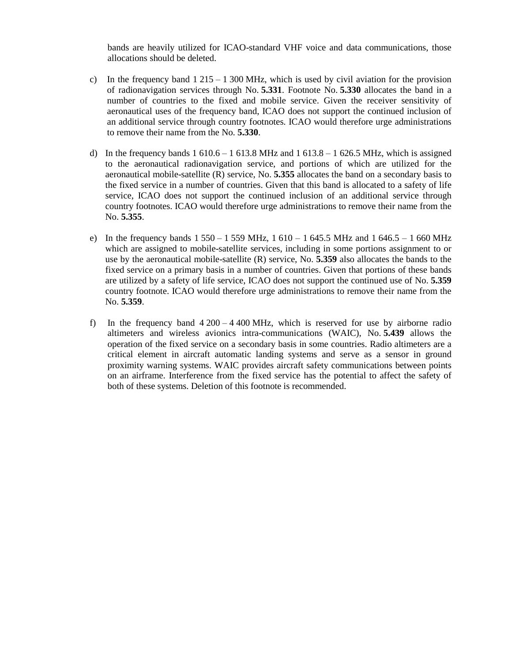bands are heavily utilized for ICAO-standard VHF voice and data communications, those allocations should be deleted.

- c) In the frequency band  $1\,215 1\,300$  MHz, which is used by civil aviation for the provision of radionavigation services through No. **5.331**. Footnote No. **5.330** allocates the band in a number of countries to the fixed and mobile service. Given the receiver sensitivity of aeronautical uses of the frequency band, ICAO does not support the continued inclusion of an additional service through country footnotes. ICAO would therefore urge administrations to remove their name from the No. **5.330**.
- d) In the frequency bands  $1\,610.6 1\,613.8\,\text{MHz}$  and  $1\,613.8 1\,626.5\,\text{MHz}$ , which is assigned to the aeronautical radionavigation service, and portions of which are utilized for the aeronautical mobile-satellite (R) service, No. **5.355** allocates the band on a secondary basis to the fixed service in a number of countries. Given that this band is allocated to a safety of life service, ICAO does not support the continued inclusion of an additional service through country footnotes. ICAO would therefore urge administrations to remove their name from the No. **5.355**.
- e) In the frequency bands  $1\,550 1\,559\,\text{MHz}$ ,  $1\,610 1\,645.5\,\text{MHz}$  and  $1\,646.5 1\,660\,\text{MHz}$ which are assigned to mobile-satellite services, including in some portions assignment to or use by the aeronautical mobile-satellite (R) service, No. **5.359** also allocates the bands to the fixed service on a primary basis in a number of countries. Given that portions of these bands are utilized by a safety of life service, ICAO does not support the continued use of No. **5.359** country footnote. ICAO would therefore urge administrations to remove their name from the No. **5.359**.
- f) In the frequency band  $4\,200 4\,400$  MHz, which is reserved for use by airborne radio altimeters and wireless avionics intra-communications (WAIC), No. **5.439** allows the operation of the fixed service on a secondary basis in some countries. Radio altimeters are a critical element in aircraft automatic landing systems and serve as a sensor in ground proximity warning systems. WAIC provides aircraft safety communications between points on an airframe. Interference from the fixed service has the potential to affect the safety of both of these systems. Deletion of this footnote is recommended.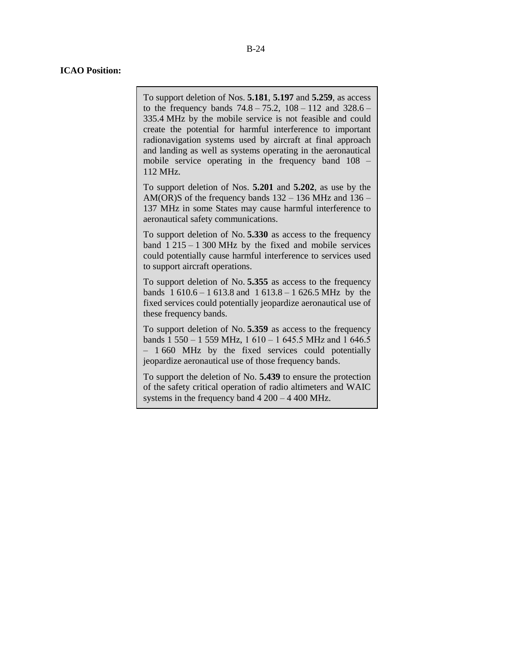#### **ICAO Position:**

To support deletion of Nos. **5.181**, **5.197** and **5.259**, as access to the frequency bands  $74.8 - 75.2$ ,  $108 - 112$  and  $328.6 -$ 335.4 MHz by the mobile service is not feasible and could create the potential for harmful interference to important radionavigation systems used by aircraft at final approach and landing as well as systems operating in the aeronautical mobile service operating in the frequency band  $108 -$ 112 MHz.

To support deletion of Nos. **5.201** and **5.202**, as use by the AM(OR)S of the frequency bands  $132 - 136$  MHz and  $136 -$ 137 MHz in some States may cause harmful interference to aeronautical safety communications.

To support deletion of No. **5.330** as access to the frequency band  $1\,215 - 1\,300$  MHz by the fixed and mobile services could potentially cause harmful interference to services used to support aircraft operations.

To support deletion of No. **5.355** as access to the frequency bands  $1\,610.6 - 1\,613.8$  and  $1\,613.8 - 1\,626.5$  MHz by the fixed services could potentially jeopardize aeronautical use of these frequency bands.

To support deletion of No. **5.359** as access to the frequency bands  $1\,550 - 1\,559\,\text{MHz}$ ,  $1\,610 - 1\,645.5\,\text{MHz}$  and  $1\,646.5$ - 1 660 MHz by the fixed services could potentially jeopardize aeronautical use of those frequency bands.

To support the deletion of No. **5.439** to ensure the protection of the safety critical operation of radio altimeters and WAIC systems in the frequency band  $4200 - 4400$  MHz.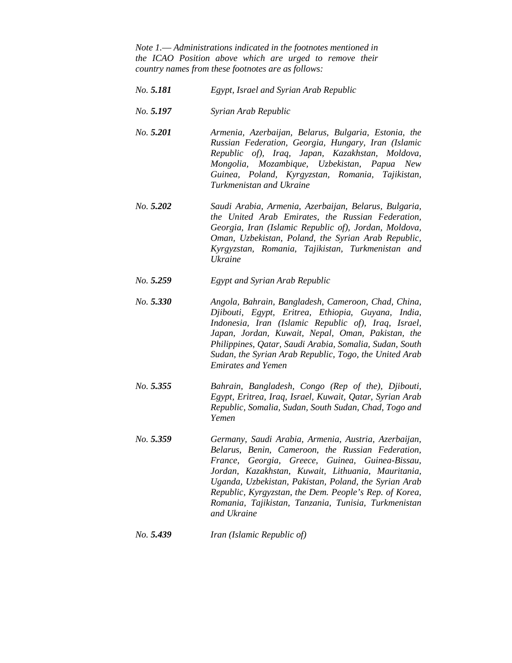*Note 1.*— *Administrations indicated in the footnotes mentioned in the ICAO Position above which are urged to remove their country names from these footnotes are as follows:*

- *No. 5.181 Egypt, Israel and Syrian Arab Republic*
- *No. 5.197 Syrian Arab Republic*
- *No. 5.201 Armenia, Azerbaijan, Belarus, Bulgaria, Estonia, the Russian Federation, Georgia, Hungary, Iran (Islamic Republic of), Iraq, Japan, Kazakhstan, Moldova, Mongolia, Mozambique, Uzbekistan, Papua New Guinea, Poland, Kyrgyzstan, Romania, Tajikistan, Turkmenistan and Ukraine*
- *No. 5.202 Saudi Arabia, Armenia, Azerbaijan, Belarus, Bulgaria, the United Arab Emirates, the Russian Federation, Georgia, Iran (Islamic Republic of), Jordan, Moldova, Oman, Uzbekistan, Poland, the Syrian Arab Republic, Kyrgyzstan, Romania, Tajikistan, Turkmenistan and Ukraine*
- *No. 5.259 Egypt and Syrian Arab Republic*
- *No. 5.330 Angola, Bahrain, Bangladesh, Cameroon, Chad, China, Djibouti, Egypt, Eritrea, Ethiopia, Guyana, India, Indonesia, Iran (Islamic Republic of), Iraq, Israel, Japan, Jordan, Kuwait, Nepal, Oman, Pakistan, the Philippines, Qatar, Saudi Arabia, Somalia, Sudan, South Sudan, the Syrian Arab Republic, Togo, the United Arab Emirates and Yemen*
- *No. 5.355 Bahrain, Bangladesh, Congo (Rep of the), Djibouti, Egypt, Eritrea, Iraq, Israel, Kuwait, Qatar, Syrian Arab Republic, Somalia, Sudan, South Sudan, Chad, Togo and Yemen*
- *No. 5.359 Germany, Saudi Arabia, Armenia, Austria, Azerbaijan, Belarus, Benin, Cameroon, the Russian Federation, France, Georgia, Greece, Guinea, Guinea-Bissau, Jordan, Kazakhstan, Kuwait, Lithuania, Mauritania, Uganda, Uzbekistan, Pakistan, Poland, the Syrian Arab Republic, Kyrgyzstan, the Dem. People's Rep. of Korea, Romania, Tajikistan, Tanzania, Tunisia, Turkmenistan and Ukraine*
- *No. 5.439 Iran (Islamic Republic of)*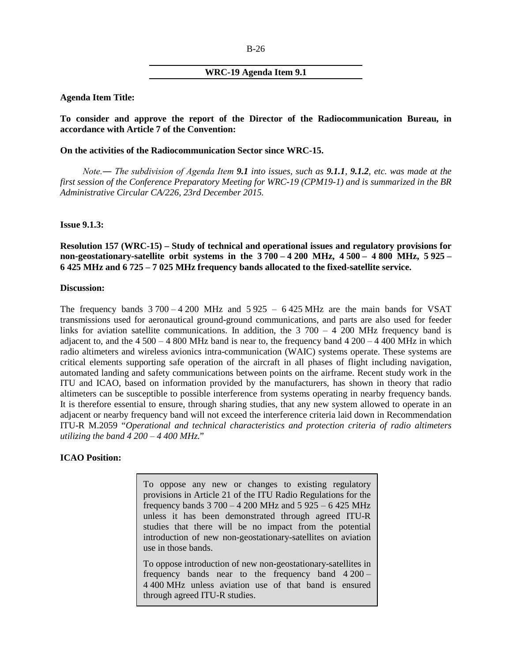# **WRC-19 Agenda Item 9.1**

#### **Agenda Item Title:**

**To consider and approve the report of the Director of the Radiocommunication Bureau, in accordance with Article 7 of the Convention:**

#### **On the activities of the Radiocommunication Sector since WRC-15.**

*Note.― The subdivision of Agenda Item 9.1 into issues, such as 9.1.1, 9.1.2, etc. was made at the first session of the Conference Preparatory Meeting for WRC-19 (CPM19-1) and is summarized in the BR Administrative Circular CA/226, 23rd December 2015.*

#### **Issue 9.1.3:**

**Resolution 157 (WRC-15) – Study of technical and operational issues and regulatory provisions for non-geostationary-satellite orbit systems in the 3 700 ‒ 4 200 MHz, 4 500 ‒ 4 800 MHz, 5 925 ‒ 6 425 MHz and 6 725 ‒ 7 025 MHz frequency bands allocated to the fixed-satellite service.**

### **Discussion:**

The frequency bands  $3700 - 4200$  MHz and  $5925 - 6425$  MHz are the main bands for VSAT transmissions used for aeronautical ground-ground communications, and parts are also used for feeder links for aviation satellite communications. In addition, the  $3\,700 - 4\,200$  MHz frequency band is adjacent to, and the  $4\,500 - 4\,800$  MHz band is near to, the frequency band  $4\,200 - 4\,400$  MHz in which radio altimeters and wireless avionics intra-communication (WAIC) systems operate. These systems are critical elements supporting safe operation of the aircraft in all phases of flight including navigation, automated landing and safety communications between points on the airframe. Recent study work in the ITU and ICAO, based on information provided by the manufacturers, has shown in theory that radio altimeters can be susceptible to possible interference from systems operating in nearby frequency bands. It is therefore essential to ensure, through sharing studies, that any new system allowed to operate in an adjacent or nearby frequency band will not exceed the interference criteria laid down in Recommendation ITU-R M.2059 "*Operational and technical characteristics and protection criteria of radio altimeters utilizing the band 4 200*  $-4400$  *MHz.*"

# **ICAO Position:**

To oppose any new or changes to existing regulatory provisions in Article 21 of the ITU Radio Regulations for the frequency bands  $3700 - 4200$  MHz and  $5925 - 6425$  MHz unless it has been demonstrated through agreed ITU-R studies that there will be no impact from the potential introduction of new non-geostationary-satellites on aviation use in those bands.

To oppose introduction of new non-geostationary-satellites in frequency bands near to the frequency band  $4200 -$ 4 400 MHz unless aviation use of that band is ensured through agreed ITU-R studies.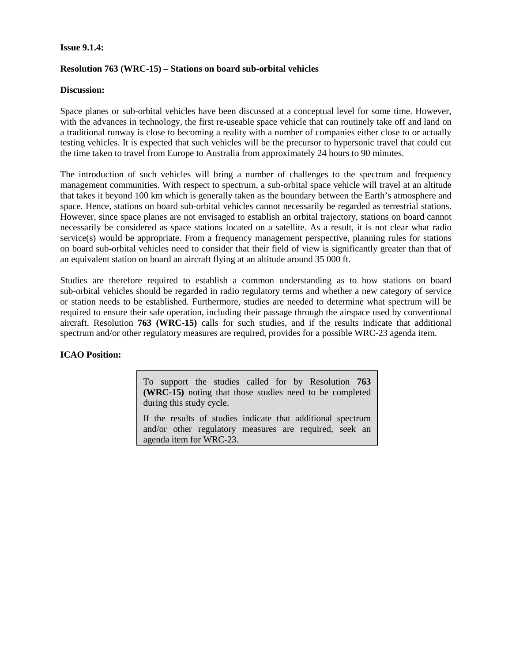# **Issue 9.1.4:**

# **Resolution 763 (WRC-15) – Stations on board sub-orbital vehicles**

# **Discussion:**

Space planes or sub-orbital vehicles have been discussed at a conceptual level for some time. However, with the advances in technology, the first re-useable space vehicle that can routinely take off and land on a traditional runway is close to becoming a reality with a number of companies either close to or actually testing vehicles. It is expected that such vehicles will be the precursor to hypersonic travel that could cut the time taken to travel from Europe to Australia from approximately 24 hours to 90 minutes.

The introduction of such vehicles will bring a number of challenges to the spectrum and frequency management communities. With respect to spectrum, a sub-orbital space vehicle will travel at an altitude that takes it beyond 100 km which is generally taken as the boundary between the Earth's atmosphere and space. Hence, stations on board sub-orbital vehicles cannot necessarily be regarded as terrestrial stations. However, since space planes are not envisaged to establish an orbital trajectory, stations on board cannot necessarily be considered as space stations located on a satellite. As a result, it is not clear what radio service(s) would be appropriate. From a frequency management perspective, planning rules for stations on board sub-orbital vehicles need to consider that their field of view is significantly greater than that of an equivalent station on board an aircraft flying at an altitude around 35 000 ft.

Studies are therefore required to establish a common understanding as to how stations on board sub-orbital vehicles should be regarded in radio regulatory terms and whether a new category of service or station needs to be established. Furthermore, studies are needed to determine what spectrum will be required to ensure their safe operation, including their passage through the airspace used by conventional aircraft. Resolution **763 (WRC-15)** calls for such studies, and if the results indicate that additional spectrum and/or other regulatory measures are required, provides for a possible WRC-23 agenda item.

# **ICAO Position:**

To support the studies called for by Resolution **763 (WRC-15)** noting that those studies need to be completed during this study cycle.

If the results of studies indicate that additional spectrum and/or other regulatory measures are required, seek an agenda item for WRC-23.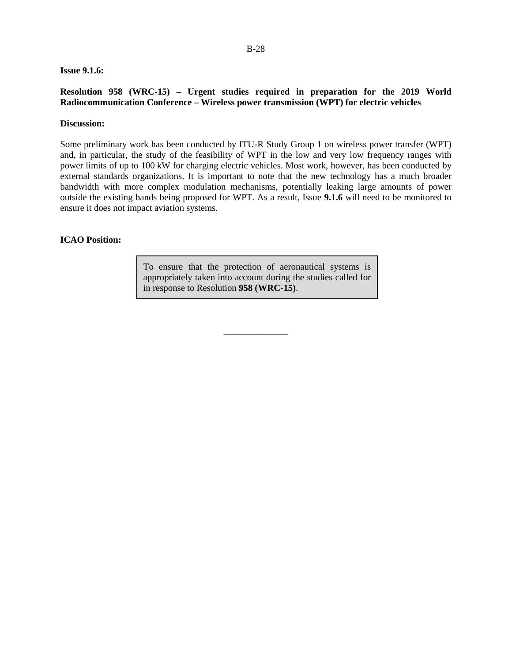#### **Issue 9.1.6:**

### **Resolution 958 (WRC-15) – Urgent studies required in preparation for the 2019 World Radiocommunication Conference – Wireless power transmission (WPT) for electric vehicles**

#### **Discussion:**

Some preliminary work has been conducted by ITU-R Study Group 1 on wireless power transfer (WPT) and, in particular, the study of the feasibility of WPT in the low and very low frequency ranges with power limits of up to 100 kW for charging electric vehicles. Most work, however, has been conducted by external standards organizations. It is important to note that the new technology has a much broader bandwidth with more complex modulation mechanisms, potentially leaking large amounts of power outside the existing bands being proposed for WPT. As a result, Issue **9.1.6** will need to be monitored to ensure it does not impact aviation systems.

#### **ICAO Position:**

To ensure that the protection of aeronautical systems is appropriately taken into account during the studies called for in response to Resolution **958 (WRC-15)**.

\_\_\_\_\_\_\_\_\_\_\_\_\_\_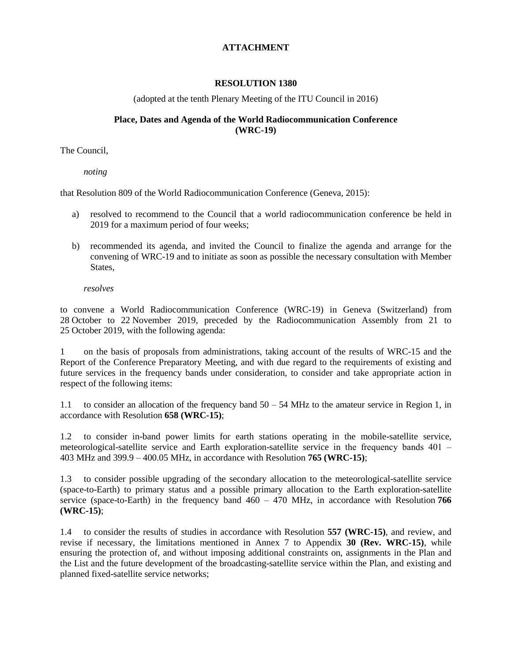# **ATTACHMENT**

# **RESOLUTION 1380**

(adopted at the tenth Plenary Meeting of the ITU Council in 2016)

# **Place, Dates and Agenda of the World Radiocommunication Conference (WRC-19)**

The Council,

*noting*

that Resolution 809 of the World Radiocommunication Conference (Geneva, 2015):

- a) resolved to recommend to the Council that a world radiocommunication conference be held in 2019 for a maximum period of four weeks;
- b) recommended its agenda, and invited the Council to finalize the agenda and arrange for the convening of WRC-19 and to initiate as soon as possible the necessary consultation with Member States,

*resolves*

to convene a World Radiocommunication Conference (WRC-19) in Geneva (Switzerland) from 28 October to 22 November 2019, preceded by the Radiocommunication Assembly from 21 to 25 October 2019, with the following agenda:

1 on the basis of proposals from administrations, taking account of the results of WRC-15 and the Report of the Conference Preparatory Meeting, and with due regard to the requirements of existing and future services in the frequency bands under consideration, to consider and take appropriate action in respect of the following items:

1.1 to consider an allocation of the frequency band 50 ‒ 54 MHz to the amateur service in Region 1, in accordance with Resolution **658 (WRC-15)**;

1.2 to consider in-band power limits for earth stations operating in the mobile-satellite service, meteorological-satellite service and Earth exploration-satellite service in the frequency bands 401 – 403 MHz and 399.9 ‒ 400.05 MHz, in accordance with Resolution **765 (WRC-15)**;

1.3 to consider possible upgrading of the secondary allocation to the meteorological-satellite service (space-to-Earth) to primary status and a possible primary allocation to the Earth exploration-satellite service (space-to-Earth) in the frequency band  $460 - 470$  MHz, in accordance with Resolution 766 **(WRC-15)**;

1.4 to consider the results of studies in accordance with Resolution **557 (WRC-15)**, and review, and revise if necessary, the limitations mentioned in Annex 7 to Appendix **30 (Rev. WRC-15)**, while ensuring the protection of, and without imposing additional constraints on, assignments in the Plan and the List and the future development of the broadcasting-satellite service within the Plan, and existing and planned fixed-satellite service networks;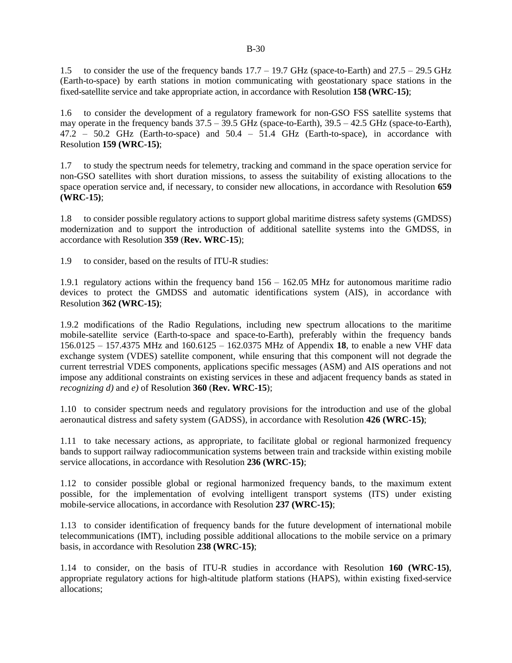1.5 to consider the use of the frequency bands  $17.7 - 19.7$  GHz (space-to-Earth) and  $27.5 - 29.5$  GHz (Earth-to-space) by earth stations in motion communicating with geostationary space stations in the fixed-satellite service and take appropriate action, in accordance with Resolution **158 (WRC-15)**;

1.6 to consider the development of a regulatory framework for non-GSO FSS satellite systems that may operate in the frequency bands  $37.5 - 39.5$  GHz (space-to-Earth),  $39.5 - 42.5$  GHz (space-to-Earth), 47.2 ‒ 50.2 GHz (Earth-to-space) and 50.4 ‒ 51.4 GHz (Earth-to-space), in accordance with Resolution **159 (WRC-15)**;

1.7 to study the spectrum needs for telemetry, tracking and command in the space operation service for non-GSO satellites with short duration missions, to assess the suitability of existing allocations to the space operation service and, if necessary, to consider new allocations, in accordance with Resolution **659 (WRC-15)**;

1.8 to consider possible regulatory actions to support global maritime distress safety systems (GMDSS) modernization and to support the introduction of additional satellite systems into the GMDSS, in accordance with Resolution **359** (**Rev. WRC-15**);

1.9 to consider, based on the results of ITU-R studies:

1.9.1 regulatory actions within the frequency band  $156 - 162.05$  MHz for autonomous maritime radio devices to protect the GMDSS and automatic identifications system (AIS), in accordance with Resolution **362 (WRC-15)**;

1.9.2 modifications of the Radio Regulations, including new spectrum allocations to the maritime mobile-satellite service (Earth-to-space and space-to-Earth), preferably within the frequency bands 156.0125 ‒ 157.4375 MHz and 160.6125 ‒ 162.0375 MHz of Appendix **18**, to enable a new VHF data exchange system (VDES) satellite component, while ensuring that this component will not degrade the current terrestrial VDES components, applications specific messages (ASM) and AIS operations and not impose any additional constraints on existing services in these and adjacent frequency bands as stated in *recognizing d)* and *e)* of Resolution **360** (**Rev. WRC-15**);

1.10 to consider spectrum needs and regulatory provisions for the introduction and use of the global aeronautical distress and safety system (GADSS), in accordance with Resolution **426 (WRC-15)**;

1.11 to take necessary actions, as appropriate, to facilitate global or regional harmonized frequency bands to support railway radiocommunication systems between train and trackside within existing mobile service allocations, in accordance with Resolution **236 (WRC-15)**;

1.12 to consider possible global or regional harmonized frequency bands, to the maximum extent possible, for the implementation of evolving intelligent transport systems (ITS) under existing mobile-service allocations, in accordance with Resolution **237 (WRC-15)**;

1.13 to consider identification of frequency bands for the future development of international mobile telecommunications (IMT), including possible additional allocations to the mobile service on a primary basis, in accordance with Resolution **238 (WRC-15)**;

1.14 to consider, on the basis of ITU-R studies in accordance with Resolution **160 (WRC-15)**, appropriate regulatory actions for high-altitude platform stations (HAPS), within existing fixed-service allocations;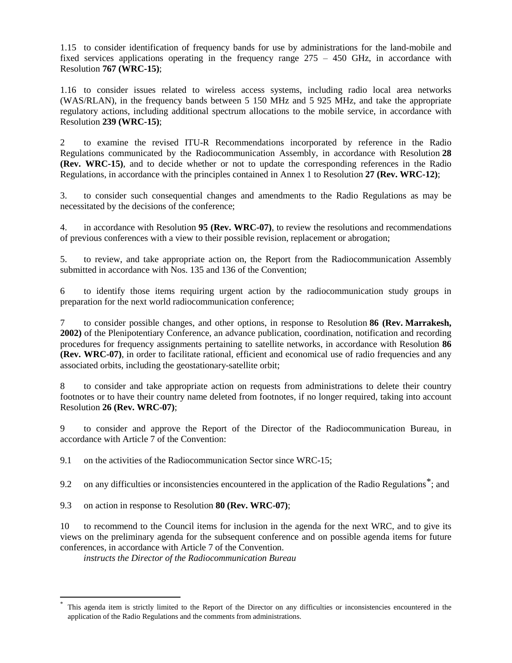1.15 to consider identification of frequency bands for use by administrations for the land-mobile and fixed services applications operating in the frequency range  $275 - 450$  GHz, in accordance with Resolution **767 (WRC-15)**;

1.16 to consider issues related to wireless access systems, including radio local area networks (WAS/RLAN), in the frequency bands between 5 150 MHz and 5 925 MHz, and take the appropriate regulatory actions, including additional spectrum allocations to the mobile service, in accordance with Resolution **239 (WRC-15)**;

2 to examine the revised ITU-R Recommendations incorporated by reference in the Radio Regulations communicated by the Radiocommunication Assembly, in accordance with Resolution **28 (Rev. WRC-15)**, and to decide whether or not to update the corresponding references in the Radio Regulations, in accordance with the principles contained in Annex 1 to Resolution **27 (Rev. WRC-12)**;

3. to consider such consequential changes and amendments to the Radio Regulations as may be necessitated by the decisions of the conference;

4. in accordance with Resolution **95 (Rev. WRC-07)**, to review the resolutions and recommendations of previous conferences with a view to their possible revision, replacement or abrogation;

5. to review, and take appropriate action on, the Report from the Radiocommunication Assembly submitted in accordance with Nos. 135 and 136 of the Convention;

6 to identify those items requiring urgent action by the radiocommunication study groups in preparation for the next world radiocommunication conference;

7 to consider possible changes, and other options, in response to Resolution **86 (Rev. Marrakesh, 2002)** of the Plenipotentiary Conference, an advance publication, coordination, notification and recording procedures for frequency assignments pertaining to satellite networks, in accordance with Resolution **86 (Rev. WRC-07)**, in order to facilitate rational, efficient and economical use of radio frequencies and any associated orbits, including the geostationary-satellite orbit;

8 to consider and take appropriate action on requests from administrations to delete their country footnotes or to have their country name deleted from footnotes, if no longer required, taking into account Resolution **26 (Rev. WRC-07)**;

9 to consider and approve the Report of the Director of the Radiocommunication Bureau, in accordance with Article 7 of the Convention:

9.1 on the activities of the Radiocommunication Sector since WRC-15;

9.2 on any difficulties or inconsistencies encountered in the application of the Radio Regulations<sup>\*</sup>; and

9.3 on action in response to Resolution **80 (Rev. WRC-07)**;

 $\overline{a}$ 

10 to recommend to the Council items for inclusion in the agenda for the next WRC, and to give its views on the preliminary agenda for the subsequent conference and on possible agenda items for future conferences, in accordance with Article 7 of the Convention.

*instructs the Director of the Radiocommunication Bureau*

<span id="page-30-0"></span>This agenda item is strictly limited to the Report of the Director on any difficulties or inconsistencies encountered in the application of the Radio Regulations and the comments from administrations.